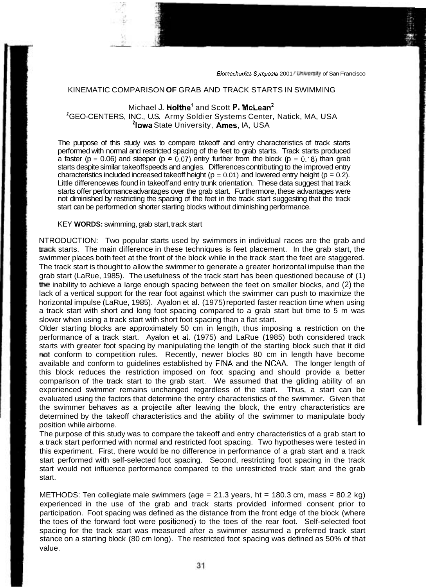## KINEMATIC COMPARISON **OF** GRAB AND TRACK STARTS IN SWIMMING

## Michael J. Holthe<sup>1</sup> and Scott P. McLean<sup>2</sup>

**<sup>1</sup>**GEO-CENTERS, INC., U.S. Army Soldier Systems Center, Natick, MA, USA <sup>2</sup>lowa State University, Ames, IA, USA

The purpose of this study was to compare takeoff and entry characteristics of track starts performed with normal and restricted spacing of the feet to grab starts. Track starts produced a faster ( $p = 0.06$ ) and steeper ( $p = 0.07$ ) entry further from the block ( $p = 0.18$ ) than grab starts despite similar takeoff speeds and angles. Differences contributing to the improved entry characteristics included increased takeoff height ( $p = 0.01$ ) and lowered entry height ( $p = 0.2$ ). Little difference was found in takeoff and entry trunk orientation. These data suggest that track starts offer performance advantages over the grab start. Furthermore, these advantages were not diminished by restricting the spacing of the feet in the track start suggesting that the track start can be performed on shorter starting blocks without diminishing performance.

KEY **WORDS:** swimming, grab start, track start

NTRODUCTION: Two popular starts used by swimmers in individual races are the grab and **track** starts. The main difference in these techniques is feet placement. In the grab start, the swimmer places both feet at the front of the block while in the track start the feet are staggered. The track start is thought to allow the swimmer to generate a greater horizontal impulse than the grab start (LaRue, 1985). The usefulness of the track start has been questioned because of (1) the inability to achieve a large enough spacing between the feet on smaller blocks, and (2) the lack of a vertical support for the rear foot against which the swimmer can push to maximize the horizontal impulse (LaRue, 1985). Ayalon et al. (1975) reported faster reaction time when using a track start with short and long foot spacing compared to a grab start but time to 5 m was slower when using a track start with short foot spacing than a flat start.

Older starting blocks are approximately 50 cm in length, thus imposing a restriction on the performance of a track start. Ayalon et al. (1975) and LaRue (1985) both considered track starts with greater foot spacing by manipulating the length of the starting block such that it did not conform to competition rules. Recently, newer blocks 80 cm in length have become available and conform to guidelines established by FlNA and the NCAA. The longer length of this block reduces the restriction imposed on foot spacing and should provide a better comparison of the track start to the grab start. We assumed that the gliding ability of an experienced swimmer remains unchanged regardless of the start. Thus, a start can be evaluated using the factors that determine the entry characteristics of the swimmer. Given that the swimmer behaves as a projectile after leaving the block, the entry characteristics are determined by the takeoff characteristics and the ability of the swimmer to manipulate body position while airborne.

The purpose of this study was to compare the takeoff and entry characteristics of a grab start to a track start performed with normal and restricted foot spacing. Two hypotheses were tested in this experiment. First, there would be no difference in performance of a grab start and a track start performed with self-selected foot spacing. Second, restricting foot spacing in the track start would not influence performance compared to the unrestricted track start and the grab start.

METHODS: Ten collegiate male swimmers (age = 21.3 years, ht = 180.3 cm, mass = 80.2 kg) experienced in the use of the grab and track starts provided informed consent prior to participation. Foot spacing was defined as the distance from the front edge of the block (where the toes of the forward foot were positioned) to the toes of the rear foot. Self-selected foot spacing for the track start was measured after a swimmer assumed a preferred track start stance on a starting block (80 cm long). The restricted foot spacing was defined as 50% of that value.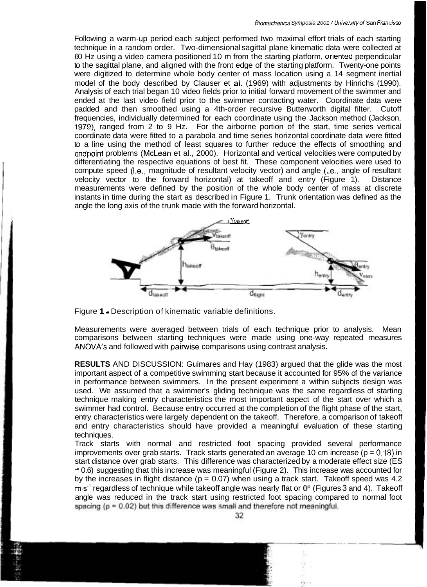Following a warm-up period each subject performed two maximal effort trials of each starting technique in a random order. Two-dimensional sagittal plane kinematic data were collected at 60 Hz using a video camera positioned 10 m from the starting platform, orlented perpendicular to the sagittal plane, and aligned with the front edge of the starting platform. Twenty-one points were digitized to determine whole body center of mass location using a 14 segment inertial model of the body described by Clauser et al. (1969) with adjustments by Hinrichs (1990). Analysis of each trial began 10 video fields prior to initial forward movement of the swimmer and ended at the last video field prior to the swimmer contacting water. Coordinate data were padded and then smoothed using a 4th-order recursive Butterworth digital filter. Cutoff frequencies, individually determined for each coordinate using the Jackson method (Jackson, 1979), ranged from 2 to 9 Hz. For the airborne portion of the start, time series vertical coordinate data were fitted to a parabola and time series horizontal coordinate data were fitted to a line using the method of least squares to further reduce the effects of smoothing and endpoint problems (McLean et al., 2000). Horizontal and vertical velocities were computed by differentiating the respective equations of best fit. These component velocities were used to compute speed (i.e., magnitude of resultant velocity vector) and angle (i.e., angle of resultant velocity vector to the forward horizontal) at takeoff and entry (Figure 1). Distance measurements were defined by the position of the whole body center of mass at discrete instants in time during the start as described in Figure 1. Trunk orientation was defined as the angle the long axis of the trunk made with the forward horizontal.



Figure **1** - Description of kinematic variable definitions.

Measurements were averaged between trials of each technique prior to analysis. Mean comparisons between starting techniques were made using one-way repeated measures ANOVA's and followed with pairwise comparisons using contrast analysis.

**RESULTS** AND DISCUSSION: Guimares and Hay (1983) argued that the glide was the most important aspect of a competitive swimming start because it accounted for 95% of the variance in performance between swimmers. In the present experiment a within subjects design was used. We assumed that a swimmer's gliding technique was the same regardless of starting technique making entry characteristics the most important aspect of the start over which a swimmer had control. Because entry occurred at the completion of the flight phase of the start, entry characteristics were largely dependent on the takeoff. Therefore, a comparison of takeoff and entry characteristics should have provided a meaningful evaluation of these starting techniques.

Track starts with normal and restricted foot spacing provided several performance improvements over grab starts. Track starts generated an average 10 cm increase ( $p = 0.18$ ) in start distance over grab starts. This difference was characterized by a moderate effect size (ES  $= 0.6$ ) suggesting that this increase was meaningful (Figure 2). This increase was accounted for by the increases in flight distance ( $p = 0.07$ ) when using a track start. Takeoff speed was 4.2 m.s<sup>-1</sup> regardless of technique while takeoff angle was nearly flat or 0<sup>e</sup> (Figures 3 and 4). Takeoff angle was reduced in the track start using restricted foot spacing compared to normal foot spacing  $(p = 0.02)$  but this difference was small and therefore not meaningful.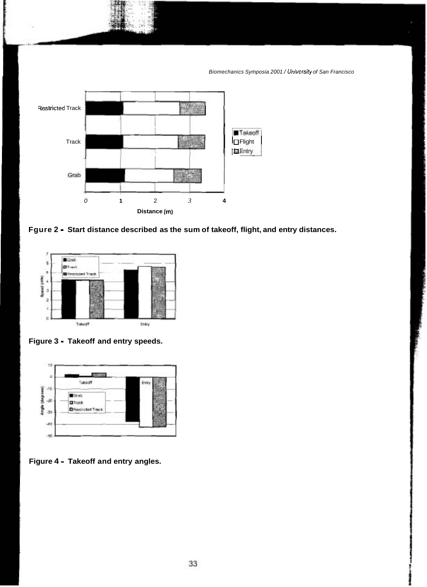

Fgure 2 - Start distance described as the sum of takeoff, flight, and entry distances.



Figure 3 - Takeoff and entry speeds.



Figure 4 - Takeoff and entry angles.